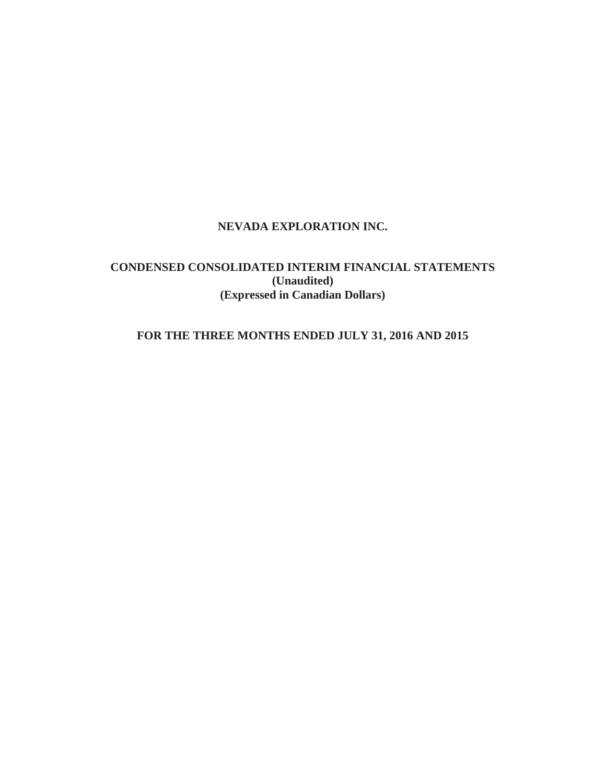# **NEVADA EXPLORATION INC.**

# **CONDENSED CONSOLIDATED INTERIM FINANCIAL STATEMENTS (Unaudited) (Expressed in Canadian Dollars)**

# **FOR THE THREE MONTHS ENDED JULY 31, 2016 AND 2015**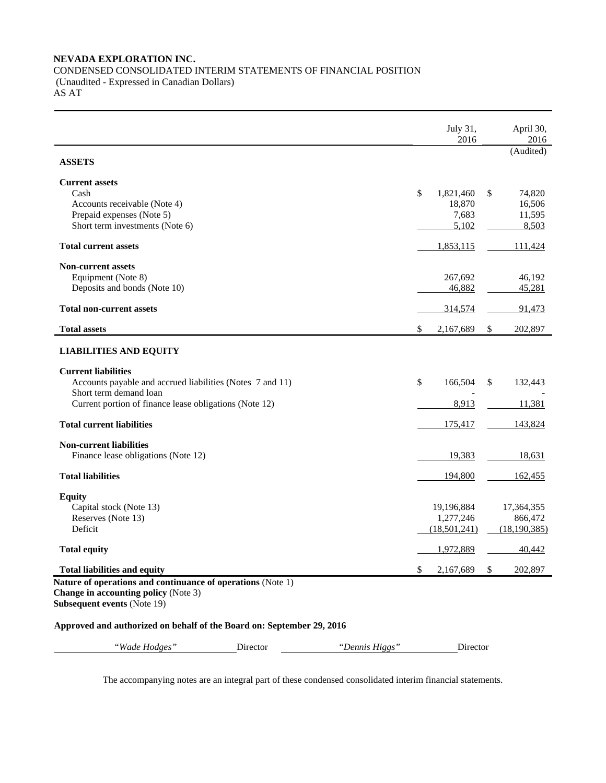# **NEVADA EXPLORATION INC.**  CONDENSED CONSOLIDATED INTERIM STATEMENTS OF FINANCIAL POSITION (Unaudited - Expressed in Canadian Dollars) AS AT

|                                                                                   |          |                | July 31,<br>2016 | April 30,<br>2016 |
|-----------------------------------------------------------------------------------|----------|----------------|------------------|-------------------|
| <b>ASSETS</b>                                                                     |          |                |                  | (Audited)         |
| <b>Current assets</b>                                                             |          |                |                  |                   |
| Cash                                                                              |          |                | \$<br>1,821,460  | \$<br>74,820      |
| Accounts receivable (Note 4)                                                      |          |                | 18,870           | 16,506            |
| Prepaid expenses (Note 5)                                                         |          |                | 7,683            | 11,595            |
| Short term investments (Note 6)                                                   |          |                | 5,102            | 8,503             |
| <b>Total current assets</b>                                                       |          |                | 1,853,115        | <u>111,424</u>    |
| <b>Non-current assets</b>                                                         |          |                |                  |                   |
| Equipment (Note 8)                                                                |          |                | 267,692          | 46,192            |
| Deposits and bonds (Note 10)                                                      |          |                | 46,882           | 45,281            |
| <b>Total non-current assets</b>                                                   |          |                | 314,574          | 91,473            |
| <b>Total assets</b>                                                               |          |                | \$<br>2,167,689  | \$<br>202,897     |
| <b>LIABILITIES AND EQUITY</b>                                                     |          |                |                  |                   |
| <b>Current liabilities</b>                                                        |          |                |                  |                   |
| Accounts payable and accrued liabilities (Notes 7 and 11)                         |          |                | \$<br>166,504    | \$<br>132,443     |
| Short term demand loan                                                            |          |                |                  |                   |
| Current portion of finance lease obligations (Note 12)                            |          |                | 8,913            | 11,381            |
| <b>Total current liabilities</b>                                                  |          |                | 175,417          | 143,824           |
| <b>Non-current liabilities</b>                                                    |          |                |                  |                   |
| Finance lease obligations (Note 12)                                               |          |                | 19,383           | 18,631            |
| <b>Total liabilities</b>                                                          |          |                | 194,800          | 162,455           |
| <b>Equity</b>                                                                     |          |                |                  |                   |
| Capital stock (Note 13)                                                           |          |                | 19,196,884       | 17,364,355        |
| Reserves (Note 13)                                                                |          |                | 1,277,246        | 866,472           |
| Deficit                                                                           |          |                | (18,501,241)     | (18, 190, 385)    |
| <b>Total equity</b>                                                               |          |                | 1,972,889        | 40,442            |
| <b>Total liabilities and equity</b>                                               |          |                | \$<br>2,167,689  | \$<br>202,897     |
| Nature of operations and continuance of operations (Note 1)                       |          |                |                  |                   |
| <b>Change in accounting policy (Note 3)</b><br><b>Subsequent events (Note 19)</b> |          |                |                  |                   |
| Approved and authorized on behalf of the Board on: September 29, 2016             |          |                |                  |                   |
| "Wade Hodges"                                                                     | Director | "Dennis Higgs" | Director         |                   |

The accompanying notes are an integral part of these condensed consolidated interim financial statements.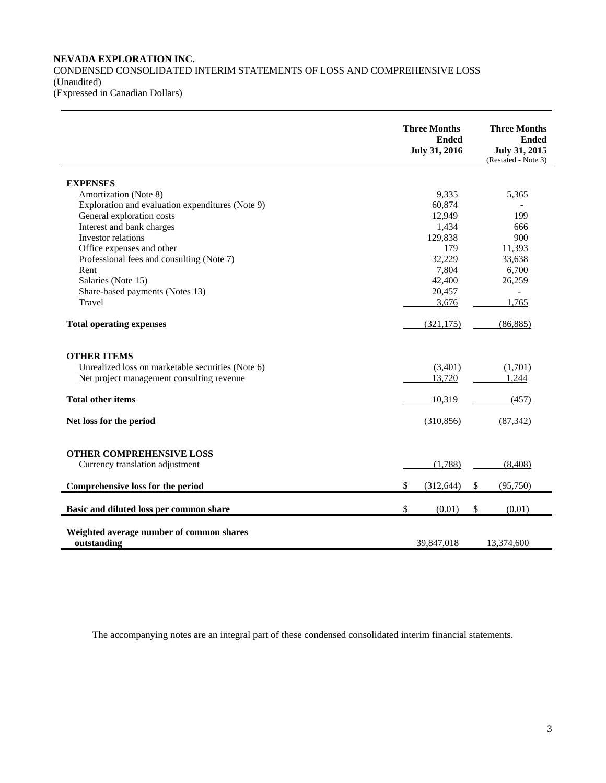# **NEVADA EXPLORATION INC.**  CONDENSED CONSOLIDATED INTERIM STATEMENTS OF LOSS AND COMPREHENSIVE LOSS (Unaudited) (Expressed in Canadian Dollars)

|                                                                    | <b>Three Months</b><br><b>Ended</b><br>July 31, 2016 | <b>Three Months</b><br><b>Ended</b><br>July 31, 2015<br>(Restated - Note 3) |
|--------------------------------------------------------------------|------------------------------------------------------|-----------------------------------------------------------------------------|
| <b>EXPENSES</b>                                                    |                                                      |                                                                             |
| Amortization (Note 8)                                              | 9,335                                                | 5,365                                                                       |
| Exploration and evaluation expenditures (Note 9)                   | 60,874                                               |                                                                             |
| General exploration costs                                          | 12,949                                               | 199                                                                         |
| Interest and bank charges                                          | 1,434                                                | 666                                                                         |
| Investor relations                                                 | 129,838                                              | 900                                                                         |
| Office expenses and other                                          | 179                                                  | 11,393                                                                      |
| Professional fees and consulting (Note 7)                          | 32,229                                               | 33,638                                                                      |
| Rent                                                               | 7,804                                                | 6,700                                                                       |
| Salaries (Note 15)                                                 | 42,400                                               | 26,259                                                                      |
| Share-based payments (Notes 13)                                    | 20,457                                               | $\overline{\phantom{0}}$                                                    |
| Travel                                                             | 3,676                                                | 1,765                                                                       |
| <b>Total operating expenses</b>                                    | (321, 175)                                           | (86, 885)                                                                   |
| <b>OTHER ITEMS</b>                                                 |                                                      |                                                                             |
| Unrealized loss on marketable securities (Note 6)                  | (3,401)                                              | (1,701)                                                                     |
| Net project management consulting revenue                          | 13,720                                               | 1,244                                                                       |
| <b>Total other items</b>                                           | 10,319                                               | (457)                                                                       |
| Net loss for the period                                            | (310, 856)                                           | (87, 342)                                                                   |
| <b>OTHER COMPREHENSIVE LOSS</b><br>Currency translation adjustment | (1,788)                                              | (8, 408)                                                                    |
|                                                                    |                                                      |                                                                             |
| Comprehensive loss for the period                                  | \$<br>(312, 644)                                     | \$<br>(95, 750)                                                             |
| Basic and diluted loss per common share                            | \$<br>(0.01)                                         | \$<br>(0.01)                                                                |
| Weighted average number of common shares<br>outstanding            | 39,847,018                                           | 13,374,600                                                                  |

The accompanying notes are an integral part of these condensed consolidated interim financial statements.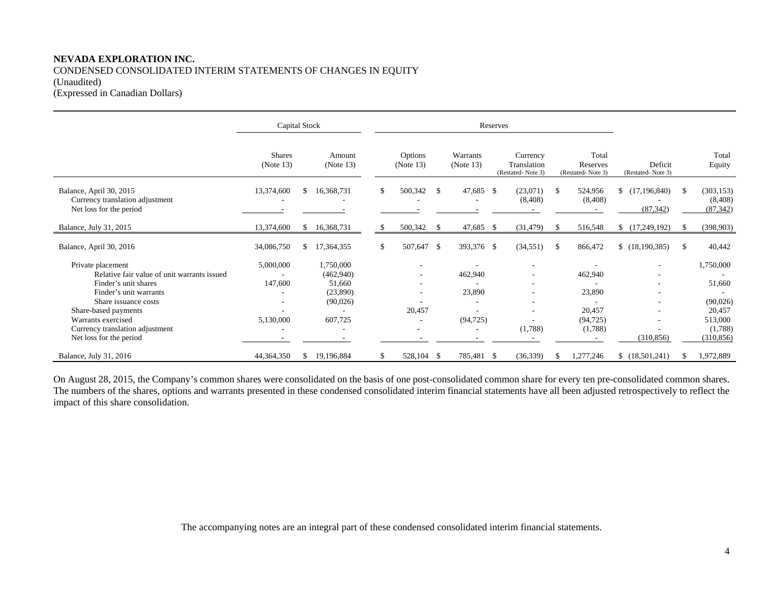# **NEVADA EXPLORATION INC.**  CONDENSED CONSOLIDATED INTERIM STATEMENTS OF CHANGES IN EQUITY (Unaudited) (Expressed in Canadian Dollars)

|                                                                                       | Capital Stock              |     |                        |    |                          |     | Reserves              |      |                                              |    |                                        |                                   |               |                                    |
|---------------------------------------------------------------------------------------|----------------------------|-----|------------------------|----|--------------------------|-----|-----------------------|------|----------------------------------------------|----|----------------------------------------|-----------------------------------|---------------|------------------------------------|
|                                                                                       | <b>Shares</b><br>(Note 13) |     | Amount<br>(Note 13)    |    | Options<br>(Note 13)     |     | Warrants<br>(Note 13) |      | Currency<br>Translation<br>(Restated-Note 3) |    | Total<br>Reserves<br>(Restated-Note 3) | Deficit<br>(Restated-Note 3)      |               | Total<br>Equity                    |
| Balance, April 30, 2015<br>Currency translation adjustment<br>Net loss for the period | 13,374,600                 | £.  | 16,368,731             |    | 500,342                  | -\$ | 47,685 \$<br>٠        |      | (23,071)<br>(8, 408)                         | -S | 524,956<br>(8,408)                     | (17, 196, 840)<br>S.<br>(87, 342) | <sup>\$</sup> | (303, 153)<br>(8,408)<br>(87, 342) |
| Balance, July 31, 2015                                                                | 13,374,600                 | \$  | 16,368,731             |    | 500,342                  | -S  | 47,685 \$             |      | (31, 479)                                    | -S | 516,548                                | (17,249,192)                      | -S            | (398, 903)                         |
| Balance, April 30, 2016                                                               | 34,086,750                 | \$. | 17,364,355             | \$ | 507,647 \$               |     | 393,376 \$            |      | (34, 551)                                    | -S | 866,472                                | (18, 190, 385)                    | <sup>\$</sup> | 40,442                             |
| Private placement<br>Relative fair value of unit warrants issued                      | 5,000,000                  |     | 1,750,000<br>(462,940) |    | $\overline{\phantom{a}}$ |     | 462,940               |      |                                              |    | 462,940                                | $\overline{\phantom{a}}$          |               | 1,750,000                          |
| Finder's unit shares<br>Finder's unit warrants                                        | 147,600                    |     | 51,660<br>(23,890)     |    |                          |     | 23,890                |      |                                              |    | 23,890                                 |                                   |               | 51,660                             |
| Share issuance costs<br>Share-based payments                                          |                            |     | (90,026)               |    | 20,457                   |     |                       |      |                                              |    | 20,457                                 | $\overline{\phantom{a}}$          |               | (90,026)<br>20,457                 |
| Warrants exercised                                                                    | 5,130,000                  |     | 607,725                |    |                          |     | (94, 725)             |      |                                              |    | (94, 725)                              | ٠                                 |               | 513,000                            |
| Currency translation adjustment<br>Net loss for the period                            |                            |     |                        |    | $\overline{\phantom{a}}$ |     | ٠                     |      | (1,788)                                      |    | (1,788)                                | (310, 856)                        |               | (1,788)<br>(310, 856)              |
| Balance, July 31, 2016                                                                | 44,364,350                 | \$. | 19,196,884             | S. | 528,104 \$               |     | 785,481               | - \$ | (36, 339)                                    | S. | ,277,246                               | \$(18,501,241)                    | £.            | 1,972,889                          |

On August 28, 2015, the Company's common shares were consolidated on the basis of one post-consolidated common share for every ten pre-consolidated common shares. The numbers of the shares, options and warrants presented in these condensed consolidated interim financial statements have all been adjusted retrospectively to reflect the impact of this share consolidation.

The accompanying notes are an integral part of these condensed consolidated interim financial statements.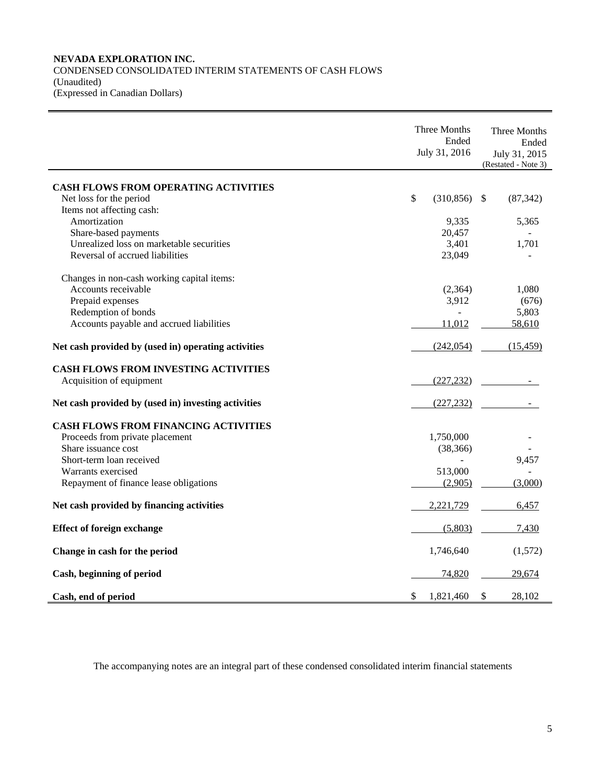# **NEVADA EXPLORATION INC.**  CONDENSED CONSOLIDATED INTERIM STATEMENTS OF CASH FLOWS (Unaudited) (Expressed in Canadian Dollars)

|                                                     | Three Months<br>Ended<br>July 31, 2016 |            |    | Three Months<br>Ended<br>July 31, 2015<br>(Restated - Note 3) |  |  |
|-----------------------------------------------------|----------------------------------------|------------|----|---------------------------------------------------------------|--|--|
| <b>CASH FLOWS FROM OPERATING ACTIVITIES</b>         |                                        |            |    |                                                               |  |  |
| Net loss for the period                             | \$                                     | (310, 856) | \$ | (87, 342)                                                     |  |  |
| Items not affecting cash:                           |                                        |            |    |                                                               |  |  |
| Amortization                                        |                                        | 9,335      |    | 5,365                                                         |  |  |
| Share-based payments                                |                                        | 20,457     |    |                                                               |  |  |
| Unrealized loss on marketable securities            |                                        | 3,401      |    | 1,701                                                         |  |  |
| Reversal of accrued liabilities                     |                                        | 23,049     |    |                                                               |  |  |
| Changes in non-cash working capital items:          |                                        |            |    |                                                               |  |  |
| Accounts receivable                                 |                                        | (2,364)    |    | 1,080                                                         |  |  |
| Prepaid expenses                                    |                                        | 3,912      |    | (676)                                                         |  |  |
| Redemption of bonds                                 |                                        |            |    | 5,803                                                         |  |  |
| Accounts payable and accrued liabilities            |                                        | 11,012     |    | 58,610                                                        |  |  |
| Net cash provided by (used in) operating activities |                                        | (242, 054) |    | (15, 459)                                                     |  |  |
| <b>CASH FLOWS FROM INVESTING ACTIVITIES</b>         |                                        |            |    |                                                               |  |  |
| Acquisition of equipment                            |                                        | (227, 232) |    |                                                               |  |  |
| Net cash provided by (used in) investing activities |                                        | (227, 232) |    |                                                               |  |  |
| <b>CASH FLOWS FROM FINANCING ACTIVITIES</b>         |                                        |            |    |                                                               |  |  |
| Proceeds from private placement                     |                                        | 1,750,000  |    |                                                               |  |  |
| Share issuance cost                                 |                                        | (38, 366)  |    |                                                               |  |  |
| Short-term loan received                            |                                        |            |    | 9,457                                                         |  |  |
| Warrants exercised                                  |                                        | 513,000    |    |                                                               |  |  |
| Repayment of finance lease obligations              |                                        | (2,905)    |    | (3,000)                                                       |  |  |
| Net cash provided by financing activities           |                                        | 2,221,729  |    | 6,457                                                         |  |  |
| <b>Effect of foreign exchange</b>                   |                                        | (5,803)    |    | 7,430                                                         |  |  |
| Change in cash for the period                       |                                        | 1,746,640  |    | (1,572)                                                       |  |  |
| Cash, beginning of period                           |                                        | 74,820     |    | 29,674                                                        |  |  |
| Cash, end of period                                 | \$                                     | 1,821,460  | \$ | 28,102                                                        |  |  |

The accompanying notes are an integral part of these condensed consolidated interim financial statements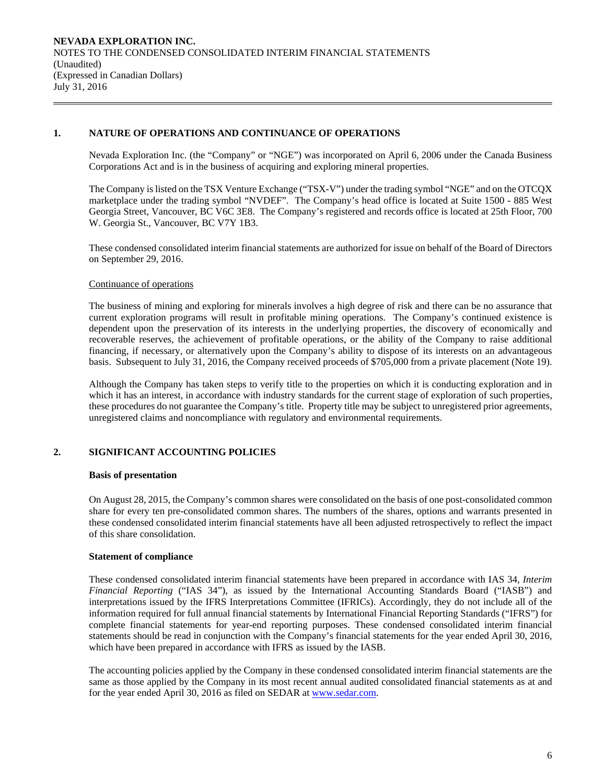# **1. NATURE OF OPERATIONS AND CONTINUANCE OF OPERATIONS**

Nevada Exploration Inc. (the "Company" or "NGE") was incorporated on April 6, 2006 under the Canada Business Corporations Act and is in the business of acquiring and exploring mineral properties.

The Company is listed on the TSX Venture Exchange ("TSX-V") under the trading symbol "NGE" and on the OTCQX marketplace under the trading symbol "NVDEF". The Company's head office is located at Suite 1500 - 885 West Georgia Street, Vancouver, BC V6C 3E8. The Company's registered and records office is located at 25th Floor, 700 W. Georgia St., Vancouver, BC V7Y 1B3.

 These condensed consolidated interim financial statements are authorized for issue on behalf of the Board of Directors on September 29, 2016.

### Continuance of operations

The business of mining and exploring for minerals involves a high degree of risk and there can be no assurance that current exploration programs will result in profitable mining operations. The Company's continued existence is dependent upon the preservation of its interests in the underlying properties, the discovery of economically and recoverable reserves, the achievement of profitable operations, or the ability of the Company to raise additional financing, if necessary, or alternatively upon the Company's ability to dispose of its interests on an advantageous basis. Subsequent to July 31, 2016, the Company received proceeds of \$705,000 from a private placement (Note 19).

Although the Company has taken steps to verify title to the properties on which it is conducting exploration and in which it has an interest, in accordance with industry standards for the current stage of exploration of such properties, these procedures do not guarantee the Company's title. Property title may be subject to unregistered prior agreements, unregistered claims and noncompliance with regulatory and environmental requirements.

# **2. SIGNIFICANT ACCOUNTING POLICIES**

### **Basis of presentation**

On August 28, 2015, the Company's common shares were consolidated on the basis of one post-consolidated common share for every ten pre-consolidated common shares. The numbers of the shares, options and warrants presented in these condensed consolidated interim financial statements have all been adjusted retrospectively to reflect the impact of this share consolidation.

# **Statement of compliance**

 These condensed consolidated interim financial statements have been prepared in accordance with IAS 34, *Interim Financial Reporting* ("IAS 34"), as issued by the International Accounting Standards Board ("IASB") and interpretations issued by the IFRS Interpretations Committee (IFRICs). Accordingly, they do not include all of the information required for full annual financial statements by International Financial Reporting Standards ("IFRS") for complete financial statements for year-end reporting purposes. These condensed consolidated interim financial statements should be read in conjunction with the Company's financial statements for the year ended April 30, 2016, which have been prepared in accordance with IFRS as issued by the IASB.

 The accounting policies applied by the Company in these condensed consolidated interim financial statements are the same as those applied by the Company in its most recent annual audited consolidated financial statements as at and for the year ended April 30, 2016 as filed on SEDAR at www.sedar.com.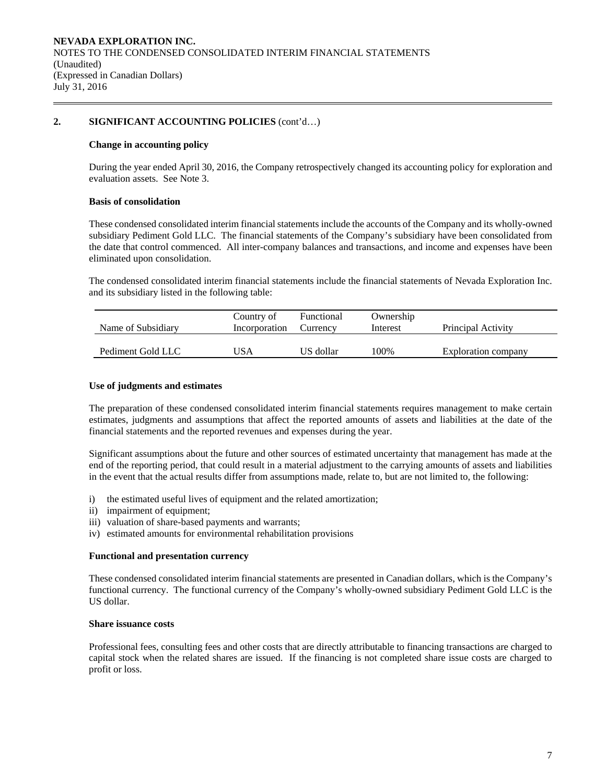# **2. SIGNIFICANT ACCOUNTING POLICIES** (cont'd…)

### **Change in accounting policy**

 During the year ended April 30, 2016, the Company retrospectively changed its accounting policy for exploration and evaluation assets. See Note 3.

### **Basis of consolidation**

 These condensed consolidated interim financial statements include the accounts of the Company and its wholly-owned subsidiary Pediment Gold LLC. The financial statements of the Company's subsidiary have been consolidated from the date that control commenced. All inter-company balances and transactions, and income and expenses have been eliminated upon consolidation.

The condensed consolidated interim financial statements include the financial statements of Nevada Exploration Inc. and its subsidiary listed in the following table:

| Name of Subsidiary | Country of<br>Incorporation | Functional<br>Currency | Ownership<br>Interest | Principal Activity  |
|--------------------|-----------------------------|------------------------|-----------------------|---------------------|
| Pediment Gold LLC  | USA                         | US dollar              | 100%                  | Exploration company |

### **Use of judgments and estimates**

The preparation of these condensed consolidated interim financial statements requires management to make certain estimates, judgments and assumptions that affect the reported amounts of assets and liabilities at the date of the financial statements and the reported revenues and expenses during the year.

 Significant assumptions about the future and other sources of estimated uncertainty that management has made at the end of the reporting period, that could result in a material adjustment to the carrying amounts of assets and liabilities in the event that the actual results differ from assumptions made, relate to, but are not limited to, the following:

- i) the estimated useful lives of equipment and the related amortization;
- ii) impairment of equipment;
- iii) valuation of share-based payments and warrants;
- iv) estimated amounts for environmental rehabilitation provisions

#### **Functional and presentation currency**

These condensed consolidated interim financial statements are presented in Canadian dollars, which is the Company's functional currency. The functional currency of the Company's wholly-owned subsidiary Pediment Gold LLC is the US dollar.

#### **Share issuance costs**

 Professional fees, consulting fees and other costs that are directly attributable to financing transactions are charged to capital stock when the related shares are issued. If the financing is not completed share issue costs are charged to profit or loss.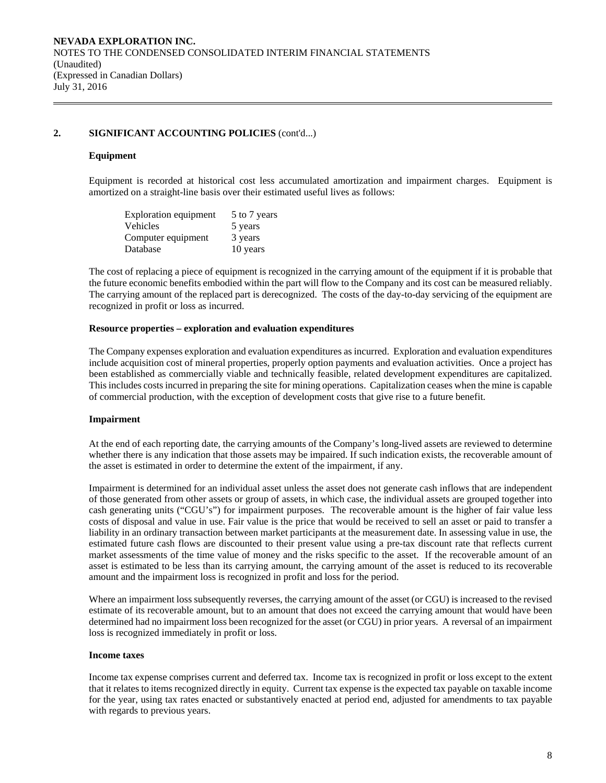# **2. SIGNIFICANT ACCOUNTING POLICIES** (cont'd...)

### **Equipment**

Equipment is recorded at historical cost less accumulated amortization and impairment charges. Equipment is amortized on a straight-line basis over their estimated useful lives as follows:

| Exploration equipment | 5 to 7 years |
|-----------------------|--------------|
| <b>Vehicles</b>       | 5 years      |
| Computer equipment    | 3 years      |
| Database              | 10 years     |

The cost of replacing a piece of equipment is recognized in the carrying amount of the equipment if it is probable that the future economic benefits embodied within the part will flow to the Company and its cost can be measured reliably. The carrying amount of the replaced part is derecognized. The costs of the day-to-day servicing of the equipment are recognized in profit or loss as incurred.

### **Resource properties – exploration and evaluation expenditures**

 The Company expenses exploration and evaluation expenditures as incurred. Exploration and evaluation expenditures include acquisition cost of mineral properties, properly option payments and evaluation activities. Once a project has been established as commercially viable and technically feasible, related development expenditures are capitalized. This includes costs incurred in preparing the site for mining operations. Capitalization ceases when the mine is capable of commercial production, with the exception of development costs that give rise to a future benefit.

### **Impairment**

At the end of each reporting date, the carrying amounts of the Company's long-lived assets are reviewed to determine whether there is any indication that those assets may be impaired. If such indication exists, the recoverable amount of the asset is estimated in order to determine the extent of the impairment, if any.

Impairment is determined for an individual asset unless the asset does not generate cash inflows that are independent of those generated from other assets or group of assets, in which case, the individual assets are grouped together into cash generating units ("CGU's") for impairment purposes. The recoverable amount is the higher of fair value less costs of disposal and value in use. Fair value is the price that would be received to sell an asset or paid to transfer a liability in an ordinary transaction between market participants at the measurement date. In assessing value in use, the estimated future cash flows are discounted to their present value using a pre-tax discount rate that reflects current market assessments of the time value of money and the risks specific to the asset. If the recoverable amount of an asset is estimated to be less than its carrying amount, the carrying amount of the asset is reduced to its recoverable amount and the impairment loss is recognized in profit and loss for the period.

Where an impairment loss subsequently reverses, the carrying amount of the asset (or CGU) is increased to the revised estimate of its recoverable amount, but to an amount that does not exceed the carrying amount that would have been determined had no impairment loss been recognized for the asset (or CGU) in prior years. A reversal of an impairment loss is recognized immediately in profit or loss.

### **Income taxes**

Income tax expense comprises current and deferred tax. Income tax is recognized in profit or loss except to the extent that it relates to items recognized directly in equity. Current tax expense is the expected tax payable on taxable income for the year, using tax rates enacted or substantively enacted at period end, adjusted for amendments to tax payable with regards to previous years.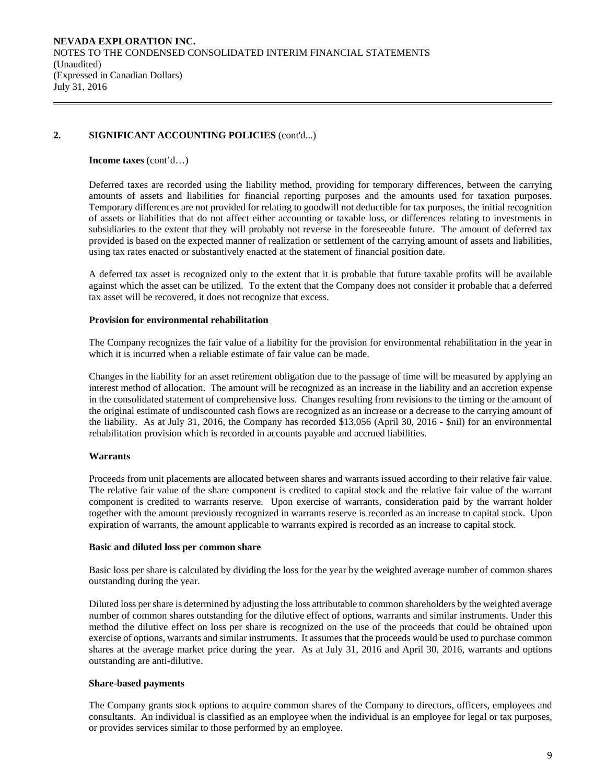# **2. SIGNIFICANT ACCOUNTING POLICIES** (cont'd...)

### **Income taxes** (cont'd…)

Deferred taxes are recorded using the liability method, providing for temporary differences, between the carrying amounts of assets and liabilities for financial reporting purposes and the amounts used for taxation purposes. Temporary differences are not provided for relating to goodwill not deductible for tax purposes, the initial recognition of assets or liabilities that do not affect either accounting or taxable loss, or differences relating to investments in subsidiaries to the extent that they will probably not reverse in the foreseeable future. The amount of deferred tax provided is based on the expected manner of realization or settlement of the carrying amount of assets and liabilities, using tax rates enacted or substantively enacted at the statement of financial position date.

A deferred tax asset is recognized only to the extent that it is probable that future taxable profits will be available against which the asset can be utilized. To the extent that the Company does not consider it probable that a deferred tax asset will be recovered, it does not recognize that excess.

### **Provision for environmental rehabilitation**

The Company recognizes the fair value of a liability for the provision for environmental rehabilitation in the year in which it is incurred when a reliable estimate of fair value can be made.

Changes in the liability for an asset retirement obligation due to the passage of time will be measured by applying an interest method of allocation. The amount will be recognized as an increase in the liability and an accretion expense in the consolidated statement of comprehensive loss. Changes resulting from revisions to the timing or the amount of the original estimate of undiscounted cash flows are recognized as an increase or a decrease to the carrying amount of the liability. As at July 31, 2016, the Company has recorded \$13,056 (April 30, 2016 - \$nil) for an environmental rehabilitation provision which is recorded in accounts payable and accrued liabilities.

# **Warrants**

Proceeds from unit placements are allocated between shares and warrants issued according to their relative fair value. The relative fair value of the share component is credited to capital stock and the relative fair value of the warrant component is credited to warrants reserve. Upon exercise of warrants, consideration paid by the warrant holder together with the amount previously recognized in warrants reserve is recorded as an increase to capital stock. Upon expiration of warrants, the amount applicable to warrants expired is recorded as an increase to capital stock.

### **Basic and diluted loss per common share**

Basic loss per share is calculated by dividing the loss for the year by the weighted average number of common shares outstanding during the year.

 Diluted loss per share is determined by adjusting the loss attributable to common shareholders by the weighted average number of common shares outstanding for the dilutive effect of options, warrants and similar instruments. Under this method the dilutive effect on loss per share is recognized on the use of the proceeds that could be obtained upon exercise of options, warrants and similar instruments. It assumes that the proceeds would be used to purchase common shares at the average market price during the year. As at July 31, 2016 and April 30, 2016, warrants and options outstanding are anti-dilutive.

### **Share-based payments**

The Company grants stock options to acquire common shares of the Company to directors, officers, employees and consultants. An individual is classified as an employee when the individual is an employee for legal or tax purposes, or provides services similar to those performed by an employee.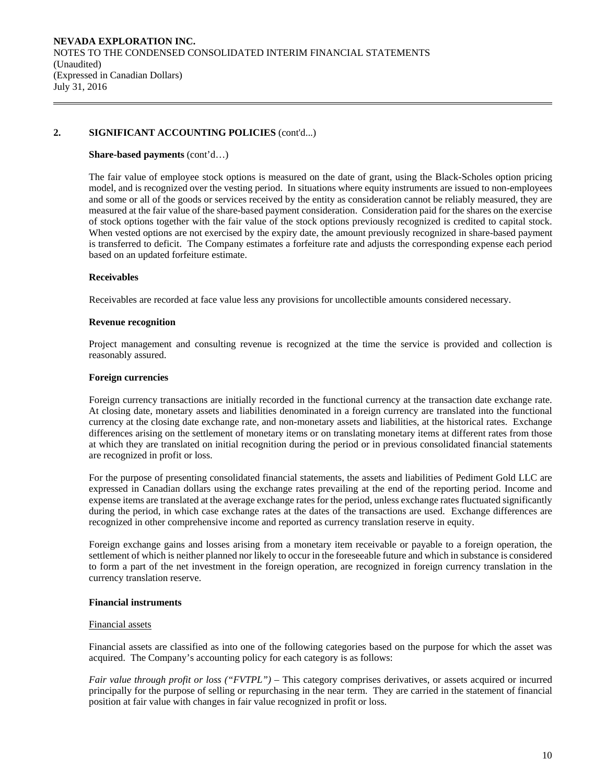# **2. SIGNIFICANT ACCOUNTING POLICIES** (cont'd...)

#### **Share-based payments** (cont'd…)

The fair value of employee stock options is measured on the date of grant, using the Black-Scholes option pricing model, and is recognized over the vesting period. In situations where equity instruments are issued to non-employees and some or all of the goods or services received by the entity as consideration cannot be reliably measured, they are measured at the fair value of the share-based payment consideration. Consideration paid for the shares on the exercise of stock options together with the fair value of the stock options previously recognized is credited to capital stock. When vested options are not exercised by the expiry date, the amount previously recognized in share-based payment is transferred to deficit. The Company estimates a forfeiture rate and adjusts the corresponding expense each period based on an updated forfeiture estimate.

### **Receivables**

Receivables are recorded at face value less any provisions for uncollectible amounts considered necessary.

#### **Revenue recognition**

Project management and consulting revenue is recognized at the time the service is provided and collection is reasonably assured.

### **Foreign currencies**

 Foreign currency transactions are initially recorded in the functional currency at the transaction date exchange rate. At closing date, monetary assets and liabilities denominated in a foreign currency are translated into the functional currency at the closing date exchange rate, and non-monetary assets and liabilities, at the historical rates. Exchange differences arising on the settlement of monetary items or on translating monetary items at different rates from those at which they are translated on initial recognition during the period or in previous consolidated financial statements are recognized in profit or loss.

For the purpose of presenting consolidated financial statements, the assets and liabilities of Pediment Gold LLC are expressed in Canadian dollars using the exchange rates prevailing at the end of the reporting period. Income and expense items are translated at the average exchange rates for the period, unless exchange rates fluctuated significantly during the period, in which case exchange rates at the dates of the transactions are used. Exchange differences are recognized in other comprehensive income and reported as currency translation reserve in equity.

 Foreign exchange gains and losses arising from a monetary item receivable or payable to a foreign operation, the settlement of which is neither planned nor likely to occur in the foreseeable future and which in substance is considered to form a part of the net investment in the foreign operation, are recognized in foreign currency translation in the currency translation reserve.

### **Financial instruments**

#### Financial assets

Financial assets are classified as into one of the following categories based on the purpose for which the asset was acquired. The Company's accounting policy for each category is as follows:

*Fair value through profit or loss ("FVTPL")* – This category comprises derivatives, or assets acquired or incurred principally for the purpose of selling or repurchasing in the near term. They are carried in the statement of financial position at fair value with changes in fair value recognized in profit or loss.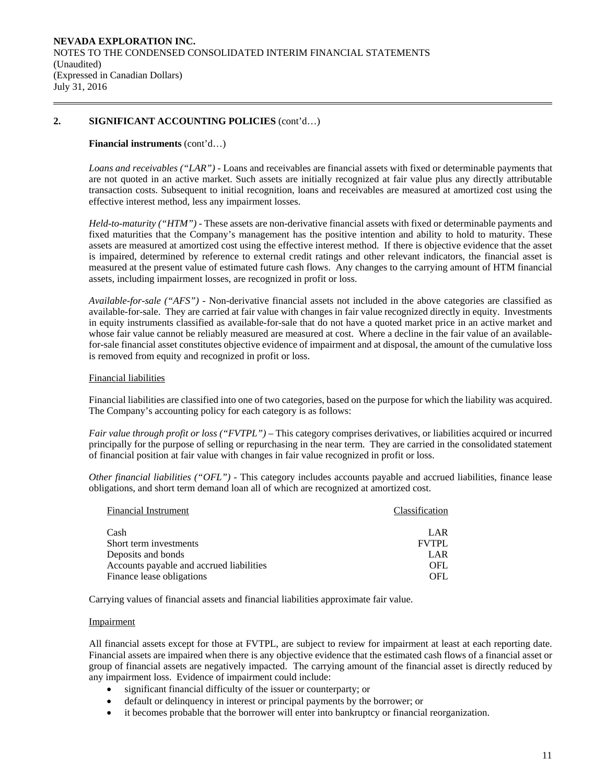# **2. SIGNIFICANT ACCOUNTING POLICIES** (cont'd…)

### **Financial instruments** (cont'd…)

*Loans and receivables ("LAR") -* Loans and receivables are financial assets with fixed or determinable payments that are not quoted in an active market. Such assets are initially recognized at fair value plus any directly attributable transaction costs. Subsequent to initial recognition, loans and receivables are measured at amortized cost using the effective interest method, less any impairment losses.

*Held-to-maturity ("HTM") -* These assets are non-derivative financial assets with fixed or determinable payments and fixed maturities that the Company's management has the positive intention and ability to hold to maturity. These assets are measured at amortized cost using the effective interest method. If there is objective evidence that the asset is impaired, determined by reference to external credit ratings and other relevant indicators, the financial asset is measured at the present value of estimated future cash flows. Any changes to the carrying amount of HTM financial assets, including impairment losses, are recognized in profit or loss.

*Available-for-sale ("AFS") -* Non-derivative financial assets not included in the above categories are classified as available-for-sale. They are carried at fair value with changes in fair value recognized directly in equity. Investments in equity instruments classified as available-for-sale that do not have a quoted market price in an active market and whose fair value cannot be reliably measured are measured at cost. Where a decline in the fair value of an availablefor-sale financial asset constitutes objective evidence of impairment and at disposal, the amount of the cumulative loss is removed from equity and recognized in profit or loss.

### Financial liabilities

Financial liabilities are classified into one of two categories, based on the purpose for which the liability was acquired. The Company's accounting policy for each category is as follows:

*Fair value through profit or loss ("FVTPL")* – This category comprises derivatives, or liabilities acquired or incurred principally for the purpose of selling or repurchasing in the near term. They are carried in the consolidated statement of financial position at fair value with changes in fair value recognized in profit or loss.

*Other financial liabilities ("OFL") -* This category includes accounts payable and accrued liabilities, finance lease obligations, and short term demand loan all of which are recognized at amortized cost.

| <b>Financial Instrument</b>              | Classification |
|------------------------------------------|----------------|
| Cash                                     | LAR            |
| Short term investments                   | <b>FVTPL</b>   |
| Deposits and bonds                       | LAR            |
| Accounts payable and accrued liabilities | OFL.           |
| Finance lease obligations                | OFL            |

Carrying values of financial assets and financial liabilities approximate fair value.

### Impairment

All financial assets except for those at FVTPL, are subject to review for impairment at least at each reporting date. Financial assets are impaired when there is any objective evidence that the estimated cash flows of a financial asset or group of financial assets are negatively impacted. The carrying amount of the financial asset is directly reduced by any impairment loss. Evidence of impairment could include:

- significant financial difficulty of the issuer or counterparty; or
- default or delinquency in interest or principal payments by the borrower; or
- it becomes probable that the borrower will enter into bankruptcy or financial reorganization.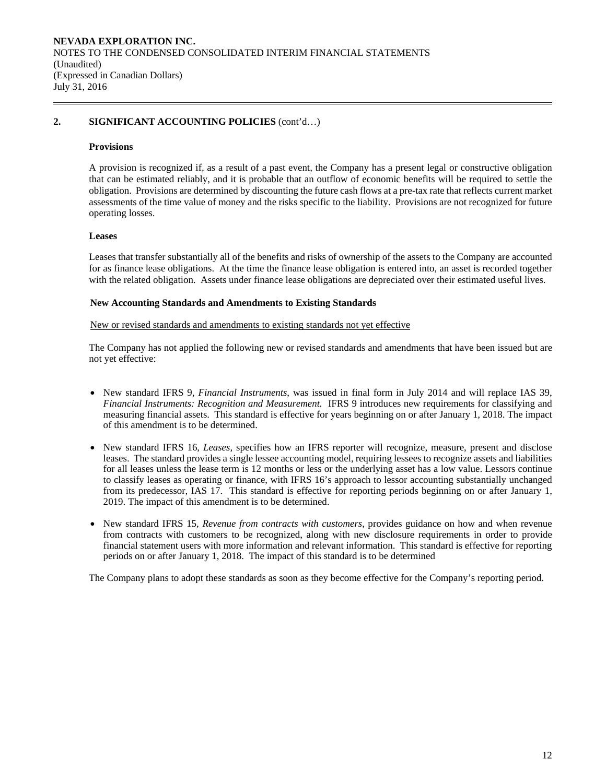# **2. SIGNIFICANT ACCOUNTING POLICIES** (cont'd…)

#### **Provisions**

A provision is recognized if, as a result of a past event, the Company has a present legal or constructive obligation that can be estimated reliably, and it is probable that an outflow of economic benefits will be required to settle the obligation. Provisions are determined by discounting the future cash flows at a pre-tax rate that reflects current market assessments of the time value of money and the risks specific to the liability. Provisions are not recognized for future operating losses.

### **Leases**

Leases that transfer substantially all of the benefits and risks of ownership of the assets to the Company are accounted for as finance lease obligations. At the time the finance lease obligation is entered into, an asset is recorded together with the related obligation. Assets under finance lease obligations are depreciated over their estimated useful lives.

### **New Accounting Standards and Amendments to Existing Standards**

### New or revised standards and amendments to existing standards not yet effective

 The Company has not applied the following new or revised standards and amendments that have been issued but are not yet effective:

- New standard IFRS 9, *Financial Instruments*, was issued in final form in July 2014 and will replace IAS 39, *Financial Instruments: Recognition and Measurement.* IFRS 9 introduces new requirements for classifying and measuring financial assets. This standard is effective for years beginning on or after January 1, 2018. The impact of this amendment is to be determined.
- New standard IFRS 16, *Leases*, specifies how an IFRS reporter will recognize, measure, present and disclose leases. The standard provides a single lessee accounting model, requiring lessees to recognize assets and liabilities for all leases unless the lease term is 12 months or less or the underlying asset has a low value. Lessors continue to classify leases as operating or finance, with IFRS 16's approach to lessor accounting substantially unchanged from its predecessor, IAS 17. This standard is effective for reporting periods beginning on or after January 1, 2019. The impact of this amendment is to be determined.
- New standard IFRS 15, *Revenue from contracts with customers*, provides guidance on how and when revenue from contracts with customers to be recognized, along with new disclosure requirements in order to provide financial statement users with more information and relevant information. This standard is effective for reporting periods on or after January 1, 2018. The impact of this standard is to be determined

The Company plans to adopt these standards as soon as they become effective for the Company's reporting period.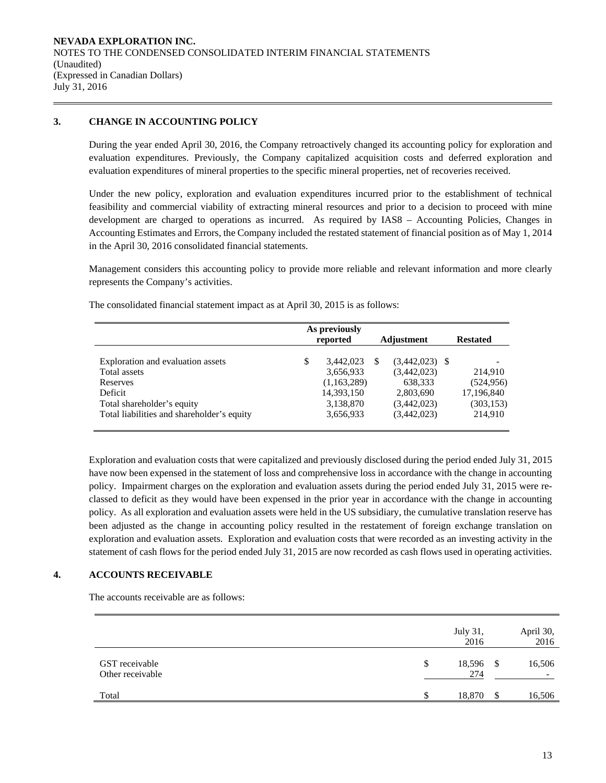# **3. CHANGE IN ACCOUNTING POLICY**

During the year ended April 30, 2016, the Company retroactively changed its accounting policy for exploration and evaluation expenditures. Previously, the Company capitalized acquisition costs and deferred exploration and evaluation expenditures of mineral properties to the specific mineral properties, net of recoveries received.

Under the new policy, exploration and evaluation expenditures incurred prior to the establishment of technical feasibility and commercial viability of extracting mineral resources and prior to a decision to proceed with mine development are charged to operations as incurred. As required by IAS8 – Accounting Policies, Changes in Accounting Estimates and Errors, the Company included the restated statement of financial position as of May 1, 2014 in the April 30, 2016 consolidated financial statements.

Management considers this accounting policy to provide more reliable and relevant information and more clearly represents the Company's activities.

|                                            | As previously<br>reported |             |  | Adjustment       | <b>Restated</b>          |  |
|--------------------------------------------|---------------------------|-------------|--|------------------|--------------------------|--|
| Exploration and evaluation assets          | \$                        | 3,442,023   |  | $(3,442,023)$ \$ | $\overline{\phantom{a}}$ |  |
| Total assets                               |                           | 3,656,933   |  | (3,442,023)      | 214.910                  |  |
| Reserves                                   |                           | (1,163,289) |  | 638,333          | (524, 956)               |  |
| Deficit                                    |                           | 14,393,150  |  | 2,803,690        | 17,196,840               |  |
| Total shareholder's equity                 |                           | 3,138,870   |  | (3,442,023)      | (303, 153)               |  |
| Total liabilities and shareholder's equity |                           | 3,656,933   |  | (3,442,023)      | 214,910                  |  |

The consolidated financial statement impact as at April 30, 2015 is as follows:

Exploration and evaluation costs that were capitalized and previously disclosed during the period ended July 31, 2015 have now been expensed in the statement of loss and comprehensive loss in accordance with the change in accounting policy. Impairment charges on the exploration and evaluation assets during the period ended July 31, 2015 were reclassed to deficit as they would have been expensed in the prior year in accordance with the change in accounting policy. As all exploration and evaluation assets were held in the US subsidiary, the cumulative translation reserve has been adjusted as the change in accounting policy resulted in the restatement of foreign exchange translation on exploration and evaluation assets. Exploration and evaluation costs that were recorded as an investing activity in the statement of cash flows for the period ended July 31, 2015 are now recorded as cash flows used in operating activities.

# **4. ACCOUNTS RECEIVABLE**

The accounts receivable are as follows:

|                                    |    | July 31,<br>2016 |      | April 30,<br>2016 |
|------------------------------------|----|------------------|------|-------------------|
| GST receivable<br>Other receivable | \$ | 18,596<br>274    | - \$ | 16,506            |
| Total                              | S  | 18,870           | -\$  | 16,506            |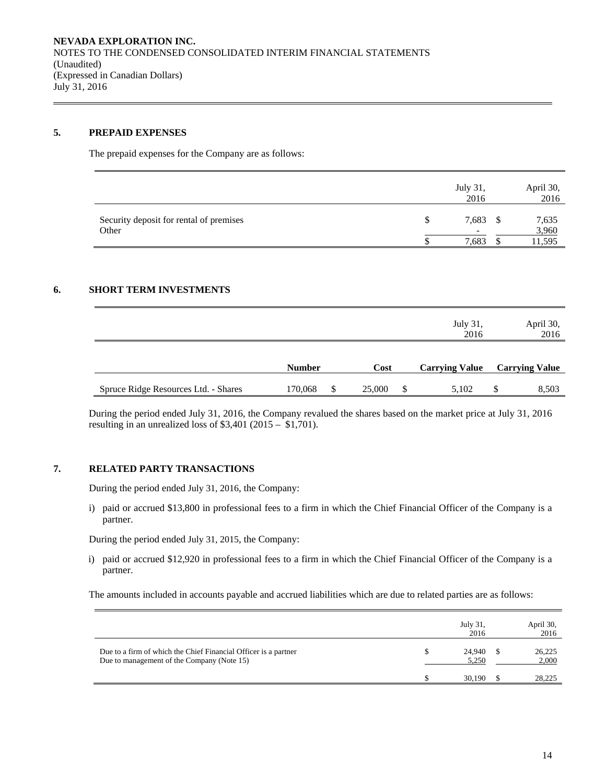# **5. PREPAID EXPENSES**

The prepaid expenses for the Company are as follows:

|                                                  | <b>July 31.</b><br>2016 |   | April 30,<br>2016       |
|--------------------------------------------------|-------------------------|---|-------------------------|
| Security deposit for rental of premises<br>Other | 7,683<br>7,683          | S | 7,635<br>3,960<br>1,595 |

### **6. SHORT TERM INVESTMENTS**

|                                      |               |              | July 31,<br>2016      | April 30,<br>2016     |
|--------------------------------------|---------------|--------------|-----------------------|-----------------------|
|                                      | <b>Number</b> | Cost         | <b>Carrying Value</b> | <b>Carrying Value</b> |
| Spruce Ridge Resources Ltd. - Shares | 170,068       | \$<br>25,000 | 5,102                 | \$<br>8,503           |

During the period ended July 31, 2016, the Company revalued the shares based on the market price at July 31, 2016 resulting in an unrealized loss of  $$3,401$  (2015 –  $$1,701$ ).

# **7. RELATED PARTY TRANSACTIONS**

During the period ended July 31, 2016, the Company:

i) paid or accrued \$13,800 in professional fees to a firm in which the Chief Financial Officer of the Company is a partner.

During the period ended July 31, 2015, the Company:

i) paid or accrued \$12,920 in professional fees to a firm in which the Chief Financial Officer of the Company is a partner.

The amounts included in accounts payable and accrued liabilities which are due to related parties are as follows:

|                                                                                                               | July 31,<br>2016 | April 30,<br>2016 |
|---------------------------------------------------------------------------------------------------------------|------------------|-------------------|
| Due to a firm of which the Chief Financial Officer is a partner<br>Due to management of the Company (Note 15) | 24.940<br>5.250  | 26,225<br>2,000   |
|                                                                                                               | 30.190           | 28.225            |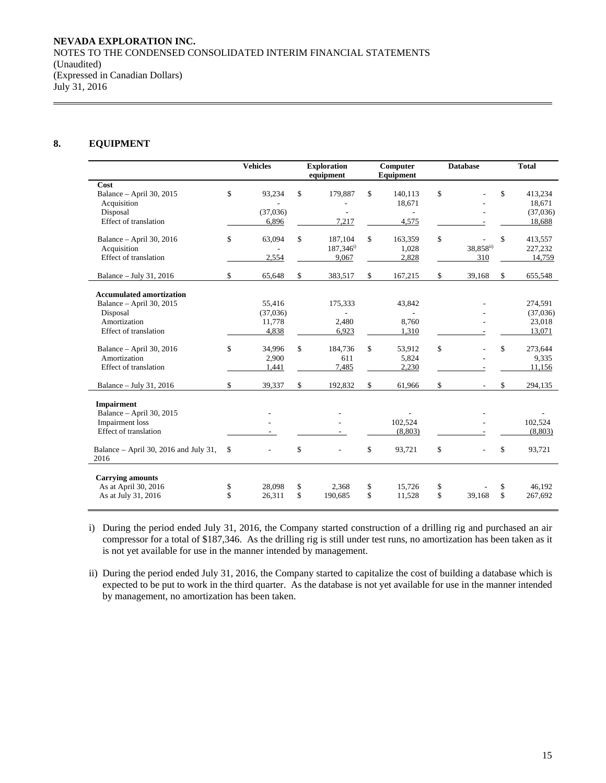### **8. EQUIPMENT**

|                                                 | <b>Vehicles</b>                | <b>Exploration</b><br>equipment | Computer<br>Equipment | <b>Database</b>                | <b>Total</b> |          |  |
|-------------------------------------------------|--------------------------------|---------------------------------|-----------------------|--------------------------------|--------------|----------|--|
| Cost                                            |                                |                                 |                       |                                |              |          |  |
| Balance - April 30, 2015                        | \$<br>93,234                   | \$<br>179,887                   | \$<br>140,113         | \$                             | \$           | 413,234  |  |
| Acquisition                                     |                                |                                 | 18,671                |                                |              | 18,671   |  |
| Disposal                                        | (37,036)                       |                                 |                       |                                |              | (37,036) |  |
| Effect of translation                           | 6,896                          | 7,217                           | 4,575                 |                                |              | 18,688   |  |
| Balance - April 30, 2016                        | \$<br>63,094                   | \$<br>187,104                   | \$<br>163,359         | \$                             | \$           | 413,557  |  |
| Acquisition                                     |                                | $187,346^{\rm i}$               | 1,028                 | 38,858ii)                      |              | 227,232  |  |
| Effect of translation                           | 2,554                          | 9,067                           | 2,828                 | 310                            |              | 14,759   |  |
| Balance - July 31, 2016                         | \$<br>65,648                   | \$<br>383,517                   | \$<br>167,215         | \$<br>39,168                   | \$           | 655,548  |  |
| <b>Accumulated amortization</b>                 |                                |                                 |                       |                                |              |          |  |
| Balance - April 30, 2015                        | 55,416                         | 175,333                         | 43,842                |                                |              | 274,591  |  |
| Disposal                                        | (37,036)                       |                                 |                       |                                |              | (37,036) |  |
| Amortization                                    | 11,778                         | 2,480                           | 8,760                 |                                |              | 23,018   |  |
| Effect of translation                           | 4,838                          | 6,923                           | 1,310                 |                                |              | 13,071   |  |
| Balance - April 30, 2016                        | \$<br>34,996                   | \$<br>184,736                   | \$<br>53,912          | \$                             | \$           | 273,644  |  |
| Amortization                                    | 2,900                          | 611                             | 5,824                 |                                |              | 9.335    |  |
| Effect of translation                           | 1,441                          | 7,485                           | 2,230                 |                                |              | 11,156   |  |
| Balance - July 31, 2016                         | \$<br>39,337                   | \$<br>192,832                   | \$<br>61,966          | \$                             | \$           | 294,135  |  |
| <b>Impairment</b>                               |                                |                                 |                       |                                |              |          |  |
| Balance - April 30, 2015                        |                                |                                 |                       |                                |              |          |  |
| <b>Impairment</b> loss                          |                                |                                 | 102,524               |                                |              | 102,524  |  |
| <b>Effect</b> of translation                    | $\sim$                         |                                 | (8,803)               |                                |              | (8,803)  |  |
| Balance – April 30, 2016 and July 31,<br>2016   | \$<br>$\overline{\phantom{a}}$ | \$<br>$\overline{\phantom{a}}$  | \$<br>93,721          | \$<br>$\overline{\phantom{a}}$ | \$           | 93,721   |  |
|                                                 |                                |                                 |                       |                                |              |          |  |
| <b>Carrying amounts</b><br>As at April 30, 2016 | \$<br>28,098                   | \$<br>2,368                     | \$<br>15,726          | \$                             | \$           | 46.192   |  |
| As at July 31, 2016                             | \$<br>26,311                   | \$<br>190,685                   | \$<br>11,528          | \$<br>39,168                   | \$           | 267,692  |  |
|                                                 |                                |                                 |                       |                                |              |          |  |

i) During the period ended July 31, 2016, the Company started construction of a drilling rig and purchased an air compressor for a total of \$187,346. As the drilling rig is still under test runs, no amortization has been taken as it is not yet available for use in the manner intended by management.

ii) During the period ended July 31, 2016, the Company started to capitalize the cost of building a database which is expected to be put to work in the third quarter. As the database is not yet available for use in the manner intended by management, no amortization has been taken.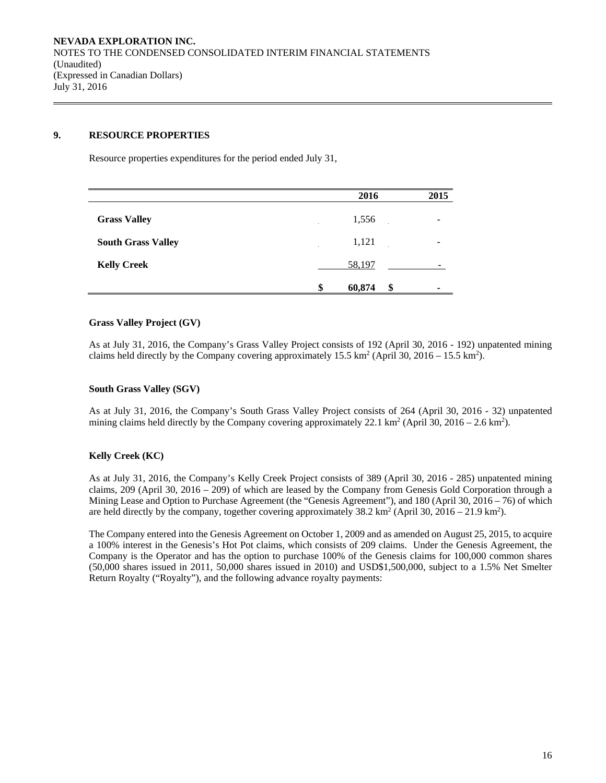## **9. RESOURCE PROPERTIES**

Resource properties expenditures for the period ended July 31,

|                           | 2016         | 2015    |
|---------------------------|--------------|---------|
| <b>Grass Valley</b>       | 1,556        |         |
| <b>South Grass Valley</b> | 1,121        |         |
| <b>Kelly Creek</b>        | 58,197       |         |
|                           | \$<br>60,874 | \$<br>۰ |

# **Grass Valley Project (GV)**

As at July 31, 2016, the Company's Grass Valley Project consists of 192 (April 30, 2016 - 192) unpatented mining claims held directly by the Company covering approximately  $15.5 \text{ km}^2$  (April 30,  $2016 - 15.5 \text{ km}^2$ ).

### **South Grass Valley (SGV)**

As at July 31, 2016, the Company's South Grass Valley Project consists of 264 (April 30, 2016 - 32) unpatented mining claims held directly by the Company covering approximately 22.1 km<sup>2</sup> (April 30, 2016 – 2.6 km<sup>2</sup>).

# **Kelly Creek (KC)**

As at July 31, 2016, the Company's Kelly Creek Project consists of 389 (April 30, 2016 - 285) unpatented mining claims, 209 (April 30, 2016 – 209) of which are leased by the Company from Genesis Gold Corporation through a Mining Lease and Option to Purchase Agreement (the "Genesis Agreement"), and 180 (April 30, 2016 – 76) of which are held directly by the company, together covering approximately  $38.2 \text{ km}^2$  (April 30,  $2016 - 21.9 \text{ km}^2$ ).

The Company entered into the Genesis Agreement on October 1, 2009 and as amended on August 25, 2015, to acquire a 100% interest in the Genesis's Hot Pot claims, which consists of 209 claims. Under the Genesis Agreement, the Company is the Operator and has the option to purchase 100% of the Genesis claims for 100,000 common shares (50,000 shares issued in 2011, 50,000 shares issued in 2010) and USD\$1,500,000, subject to a 1.5% Net Smelter Return Royalty ("Royalty"), and the following advance royalty payments: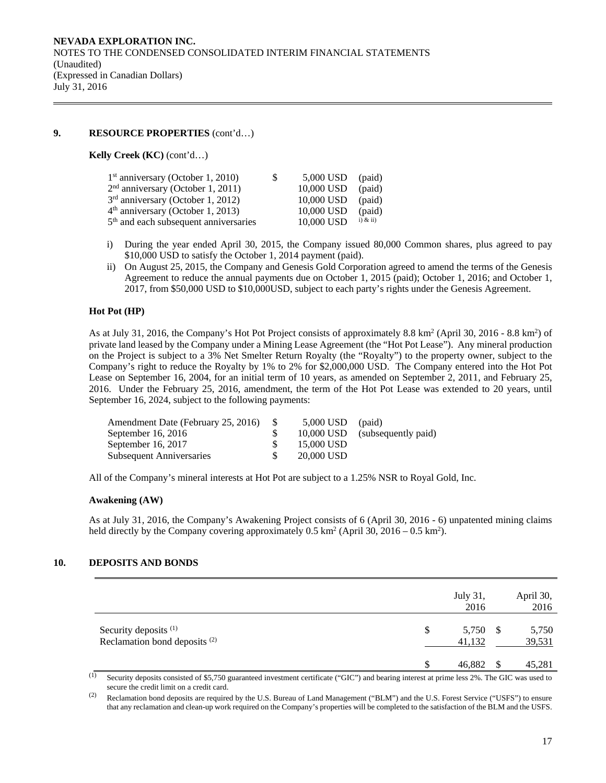# **9. RESOURCE PROPERTIES** (cont'd…)

### **Kelly Creek (KC)** (cont'd…)

| $1st$ anniversary (October 1, 2010)               | S. | 5,000 USD  | (paid)       |
|---------------------------------------------------|----|------------|--------------|
| $2nd$ anniversary (October 1, 2011)               |    | 10,000 USD | (paid)       |
| 3 <sup>rd</sup> anniversary (October 1, 2012)     |    | 10,000 USD | (paid)       |
| $4th$ anniversary (October 1, 2013)               |    | 10,000 USD | (paid)       |
| 5 <sup>th</sup> and each subsequent anniversaries |    | 10,000 USD | $i)$ & $ii)$ |

- i) During the year ended April 30, 2015, the Company issued 80,000 Common shares, plus agreed to pay \$10,000 USD to satisfy the October 1, 2014 payment (paid).
- ii) On August 25, 2015, the Company and Genesis Gold Corporation agreed to amend the terms of the Genesis Agreement to reduce the annual payments due on October 1, 2015 (paid); October 1, 2016; and October 1, 2017, from \$50,000 USD to \$10,000USD, subject to each party's rights under the Genesis Agreement.

### **Hot Pot (HP)**

As at July 31, 2016, the Company's Hot Pot Project consists of approximately 8.8 km<sup>2</sup> (April 30, 2016 - 8.8 km<sup>2</sup>) of private land leased by the Company under a Mining Lease Agreement (the "Hot Pot Lease"). Any mineral production on the Project is subject to a 3% Net Smelter Return Royalty (the "Royalty") to the property owner, subject to the Company's right to reduce the Royalty by 1% to 2% for \$2,000,000 USD. The Company entered into the Hot Pot Lease on September 16, 2004, for an initial term of 10 years, as amended on September 2, 2011, and February 25, 2016. Under the February 25, 2016, amendment, the term of the Hot Pot Lease was extended to 20 years, until September 16, 2024, subject to the following payments:

| Amendment Date (February 25, 2016) | 5,000 USD  | (paid)                         |
|------------------------------------|------------|--------------------------------|
| September $16, 2016$               |            | 10,000 USD (subsequently paid) |
| September 16, 2017                 | 15,000 USD |                                |
| <b>Subsequent Anniversaries</b>    | 20,000 USD |                                |

All of the Company's mineral interests at Hot Pot are subject to a 1.25% NSR to Royal Gold, Inc.

### **Awakening (AW)**

As at July 31, 2016, the Company's Awakening Project consists of 6 (April 30, 2016 - 6) unpatented mining claims held directly by the Company covering approximately  $0.5 \text{ km}^2$  (April 30, 2016 – 0.5 km<sup>2</sup>).

# **10. DEPOSITS AND BONDS**

|                                                                              |    | July 31,<br>2016   | April 30,<br>2016 |
|------------------------------------------------------------------------------|----|--------------------|-------------------|
| Security deposits <sup>(1)</sup><br>Reclamation bond deposits <sup>(2)</sup> | S. | 5,750 \$<br>41,132 | 5,750<br>39,531   |
|                                                                              | \$ | 46,882             | 45,281            |

(1) Security deposits consisted of \$5,750 guaranteed investment certificate ("GIC") and bearing interest at prime less 2%. The GIC was used to secure the credit limit on a credit card.

<sup>(2)</sup> Reclamation bond deposits are required by the U.S. Bureau of Land Management ("BLM") and the U.S. Forest Service ("USFS") to ensure that any reclamation and clean-up work required on the Company's properties will be completed to the satisfaction of the BLM and the USFS.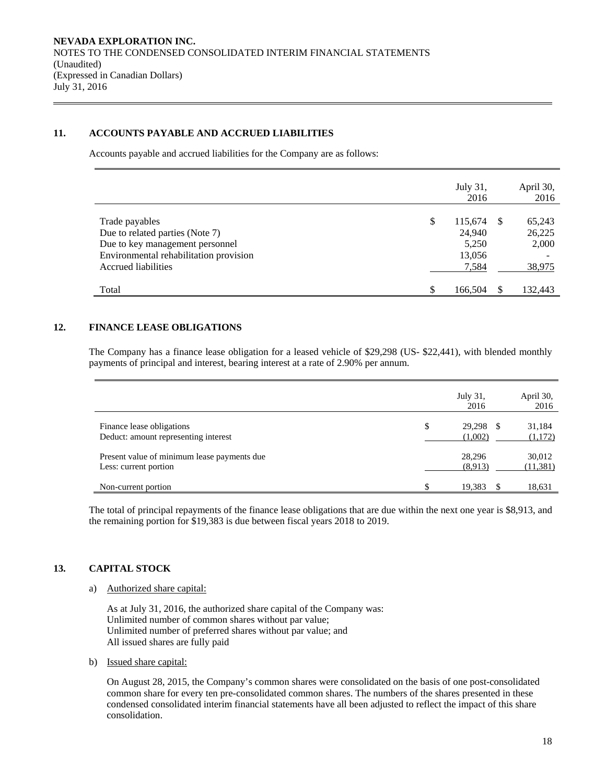# **11. ACCOUNTS PAYABLE AND ACCRUED LIABILITIES**

Accounts payable and accrued liabilities for the Company are as follows:

|                                                                    |    | July 31,<br>2016 |    | April 30,<br>2016 |
|--------------------------------------------------------------------|----|------------------|----|-------------------|
| Trade payables                                                     | \$ | 115,674          | -8 | 65,243            |
| Due to related parties (Note 7)<br>Due to key management personnel |    | 24,940<br>5,250  |    | 26,225<br>2,000   |
| Environmental rehabilitation provision                             |    | 13,056           |    |                   |
| Accrued liabilities                                                |    | 7,584            |    | 38,975            |
| Total                                                              | S  | 166,504          |    | 132,443           |

# **12. FINANCE LEASE OBLIGATIONS**

The Company has a finance lease obligation for a leased vehicle of \$29,298 (US- \$22,441), with blended monthly payments of principal and interest, bearing interest at a rate of 2.90% per annum.

|                                                                      | July 31,<br>2016             | April 30,<br>2016   |
|----------------------------------------------------------------------|------------------------------|---------------------|
| Finance lease obligations<br>Deduct: amount representing interest    | \$<br>29,298<br>S<br>(1,002) | 31,184<br>(1,172)   |
| Present value of minimum lease payments due<br>Less: current portion | 28.296<br>(8.913)            | 30,012<br>(11, 381) |
| Non-current portion                                                  | \$<br>19,383                 | 18,631              |

The total of principal repayments of the finance lease obligations that are due within the next one year is \$8,913, and the remaining portion for \$19,383 is due between fiscal years 2018 to 2019.

# **13. CAPITAL STOCK**

# a) Authorized share capital:

As at July 31, 2016, the authorized share capital of the Company was: Unlimited number of common shares without par value; Unlimited number of preferred shares without par value; and All issued shares are fully paid

b) Issued share capital:

On August 28, 2015, the Company's common shares were consolidated on the basis of one post-consolidated common share for every ten pre-consolidated common shares. The numbers of the shares presented in these condensed consolidated interim financial statements have all been adjusted to reflect the impact of this share consolidation.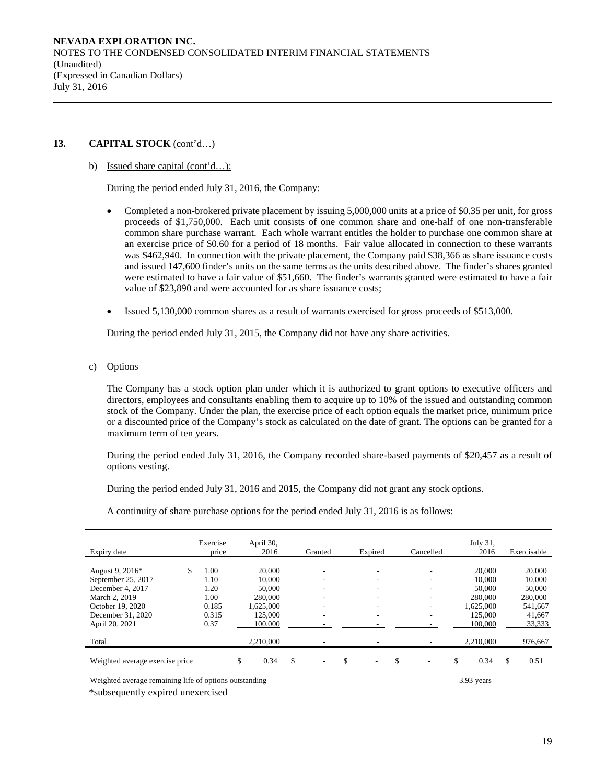### **13. CAPITAL STOCK** (cont'd…)

### b) Issued share capital (cont'd…):

During the period ended July 31, 2016, the Company:

- Completed a non-brokered private placement by issuing 5,000,000 units at a price of \$0.35 per unit, for gross proceeds of \$1,750,000. Each unit consists of one common share and one-half of one non-transferable common share purchase warrant. Each whole warrant entitles the holder to purchase one common share at an exercise price of \$0.60 for a period of 18 months. Fair value allocated in connection to these warrants was \$462,940. In connection with the private placement, the Company paid \$38,366 as share issuance costs and issued 147,600 finder's units on the same terms as the units described above. The finder's shares granted were estimated to have a fair value of \$51,660. The finder's warrants granted were estimated to have a fair value of \$23,890 and were accounted for as share issuance costs;
- Issued 5,130,000 common shares as a result of warrants exercised for gross proceeds of \$513,000.

During the period ended July 31, 2015, the Company did not have any share activities.

c) Options

The Company has a stock option plan under which it is authorized to grant options to executive officers and directors, employees and consultants enabling them to acquire up to 10% of the issued and outstanding common stock of the Company. Under the plan, the exercise price of each option equals the market price, minimum price or a discounted price of the Company's stock as calculated on the date of grant. The options can be granted for a maximum term of ten years.

During the period ended July 31, 2016, the Company recorded share-based payments of \$20,457 as a result of options vesting.

During the period ended July 31, 2016 and 2015, the Company did not grant any stock options.

A continuity of share purchase options for the period ended July 31, 2016 is as follows:

| Expiry date                                            | Exercise<br>price | April 30,<br>2016 | Granted | Expired | Cancelled                | July 31,<br>2016 |    | Exercisable |
|--------------------------------------------------------|-------------------|-------------------|---------|---------|--------------------------|------------------|----|-------------|
|                                                        |                   |                   |         |         |                          |                  |    |             |
| August 9, 2016*                                        | \$<br>1.00        | 20,000            | ٠       |         | -                        | 20,000           |    | 20,000      |
| September 25, 2017                                     | 1.10              | 10,000            |         |         |                          | 10,000           |    | 10,000      |
| December 4, 2017                                       | 1.20              | 50,000            |         |         |                          | 50,000           |    | 50,000      |
| March 2, 2019                                          | 1.00              | 280,000           | ٠       |         | ۰                        | 280,000          |    | 280,000     |
| October 19, 2020                                       | 0.185             | 1.625.000         | ٠       | -       | $\overline{\phantom{a}}$ | 1.625.000        |    | 541,667     |
| December 31, 2020                                      | 0.315             | 125,000           | ٠       | ۰       | $\overline{\phantom{a}}$ | 125,000          |    | 41,667      |
| April 20, 2021                                         | 0.37              | 100,000           |         |         |                          | 100,000          |    | 33,333      |
|                                                        |                   |                   |         |         |                          |                  |    |             |
| Total                                                  |                   | 2,210,000         |         |         |                          | 2,210,000        |    | 976,667     |
|                                                        |                   |                   |         |         |                          |                  |    |             |
| Weighted average exercise price                        |                   | 0.34              |         |         |                          | 0.34             | S. | 0.51        |
|                                                        |                   |                   |         |         |                          |                  |    |             |
| Weighted average remaining life of options outstanding |                   |                   |         |         |                          | 3.93 years       |    |             |

\*subsequently expired unexercised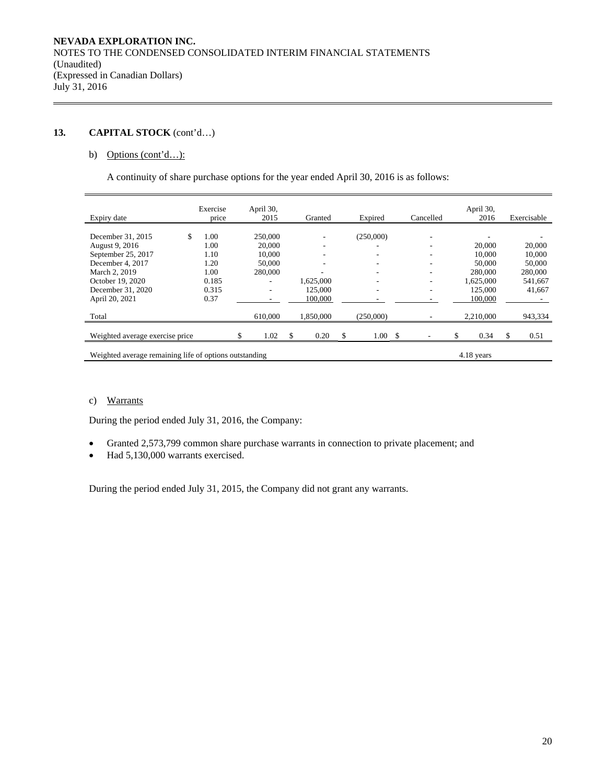# **13. CAPITAL STOCK** (cont'd…)

# b) Options (cont'd...):

A continuity of share purchase options for the year ended April 30, 2016 is as follows:

| Expiry date                                            | Exercise<br>price | April 30,<br>2015 |    | Granted   | Expired    | Cancelled | April 30,<br>2016 |   | Exercisable |
|--------------------------------------------------------|-------------------|-------------------|----|-----------|------------|-----------|-------------------|---|-------------|
|                                                        |                   |                   |    |           |            |           |                   |   |             |
| \$<br>December 31, 2015                                | 1.00              | 250,000           |    | -         | (250,000)  |           |                   |   |             |
| August 9, 2016                                         | 1.00              | 20,000            |    |           |            |           | 20,000            |   | 20,000      |
| September 25, 2017                                     | 1.10              | 10,000            |    |           |            |           | 10,000            |   | 10,000      |
| December 4, 2017                                       | 1.20              | 50,000            |    | -         |            |           | 50,000            |   | 50,000      |
| March 2, 2019                                          | 1.00              | 280,000           |    |           |            |           | 280,000           |   | 280,000     |
| October 19, 2020                                       | 0.185             |                   |    | 1,625,000 |            |           | 1,625,000         |   | 541,667     |
| December 31, 2020                                      | 0.315             |                   |    | 125,000   | -          |           | 125,000           |   | 41,667      |
| April 20, 2021                                         | 0.37              |                   |    | 100,000   |            |           | 100,000           |   | ۰.          |
| Total                                                  |                   | 610,000           |    | 1,850,000 | (250,000)  |           | 2,210,000         |   | 943,334     |
|                                                        |                   |                   |    |           |            |           |                   |   |             |
| Weighted average exercise price                        |                   | 1.02              | S. | 0.20      | \$<br>1.00 | \$        | 0.34              | S | 0.51        |
| Weighted average remaining life of options outstanding |                   |                   |    |           |            |           | 4.18 years        |   |             |

# c) Warrants

During the period ended July 31, 2016, the Company:

- Granted 2,573,799 common share purchase warrants in connection to private placement; and
- Had 5,130,000 warrants exercised.

During the period ended July 31, 2015, the Company did not grant any warrants.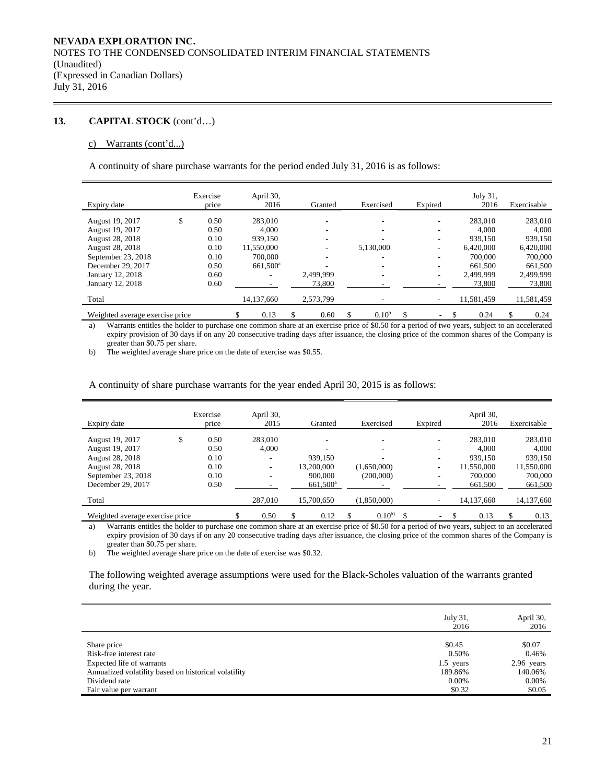# **13. CAPITAL STOCK** (cont'd…)

#### c) Warrants (cont'd...)

A continuity of share purchase warrants for the period ended July 31, 2016 is as follows:

|                                 | Exercise   | April 30,            |            |                  |         | July 31,   |             |
|---------------------------------|------------|----------------------|------------|------------------|---------|------------|-------------|
| Expiry date                     | price      | 2016                 | Granted    | Exercised        | Expired | 2016       | Exercisable |
| August 19, 2017                 | \$<br>0.50 | 283,010              | -          |                  |         | 283,010    | 283,010     |
| August 19, 2017                 | 0.50       | 4.000                | -          | ۰                |         | 4.000      | 4,000       |
| August 28, 2018                 | 0.10       | 939.150              |            |                  |         | 939.150    | 939.150     |
| <b>August 28, 2018</b>          | 0.10       | 11,550,000           |            | 5,130,000        |         | 6,420,000  | 6,420,000   |
| September 23, 2018              | 0.10       | 700,000              | ۰          |                  |         | 700,000    | 700,000     |
| December 29, 2017               | 0.50       | 661,500 <sup>a</sup> |            |                  |         | 661,500    | 661,500     |
| January 12, 2018                | 0.60       | ۰                    | 2,499,999  | ۰                | ۰       | 2.499.999  | 2,499,999   |
| January 12, 2018                | 0.60       |                      | 73,800     |                  |         | 73,800     | 73,800      |
| Total                           |            | 14,137,660           | 2,573,799  |                  |         | 11,581,459 | 11,581,459  |
| Weighted average exercise price |            | \$<br>0.13           | \$<br>0.60 | \$<br>$0.10^{b}$ | \$<br>۰ | \$<br>0.24 | \$<br>0.24  |

a) Warrants entitles the holder to purchase one common share at an exercise price of \$0.50 for a period of two years, subject to an accelerated expiry provision of 30 days if on any 20 consecutive trading days after issuance, the closing price of the common shares of the Company is greater than \$0.75 per share.

b) The weighted average share price on the date of exercise was \$0.55.

### A continuity of share purchase warrants for the year ended April 30, 2015 is as follows:

| Expiry date                     | Exercise<br>price | April 30,<br>2015 |   | Granted                  | Exercised                |   | Expired                  | April 30,<br>2016 | Exercisable |
|---------------------------------|-------------------|-------------------|---|--------------------------|--------------------------|---|--------------------------|-------------------|-------------|
| August 19, 2017                 | \$<br>0.50        | 283,010           |   |                          |                          |   | $\overline{\phantom{a}}$ | 283,010           | 283,010     |
| August 19, 2017                 | 0.50              | 4.000             |   | $\overline{\phantom{a}}$ | $\overline{\phantom{a}}$ |   | ٠                        | 4.000             | 4.000       |
| <b>August 28, 2018</b>          | 0.10              |                   |   | 939.150                  |                          |   |                          | 939,150           | 939,150     |
| August 28, 2018                 | 0.10              | ۰.                |   | 13.200.000               | (1,650,000)              |   | ۰                        | 11,550,000        | 11,550,000  |
| September 23, 2018              | 0.10              | ۰                 |   | 900,000                  | (200,000)                |   | $\overline{\phantom{a}}$ | 700,000           | 700,000     |
| December 29, 2017               | 0.50              |                   |   | 661,500 <sup>a</sup>     |                          |   |                          | 661,500           | 661,500     |
| Total                           |                   | 287,010           |   | 15,700,650               | (1,850,000)              |   | $\overline{\phantom{a}}$ | 14,137,660        | 14,137,660  |
| Weighted average exercise price |                   | \$<br>0.50        | S | 0.12                     | \$<br>$0.10^{b}$         | S | ۰.                       | 0.13              | \$<br>0.13  |

a) Warrants entitles the holder to purchase one common share at an exercise price of \$0.50 for a period of two years, subject to an accelerated expiry provision of 30 days if on any 20 consecutive trading days after issuance, the closing price of the common shares of the Company is greater than \$0.75 per share.

b) The weighted average share price on the date of exercise was \$0.32.

The following weighted average assumptions were used for the Black-Scholes valuation of the warrants granted during the year.

|                                                                       | July 31,<br>2016 | April 30,<br>2016   |
|-----------------------------------------------------------------------|------------------|---------------------|
| Share price<br>Risk-free interest rate                                | \$0.45<br>0.50%  | \$0.07<br>0.46%     |
| Expected life of warrants                                             | 1.5 years        | 2.96 years          |
| Annualized volatility based on historical volatility<br>Dividend rate | 189.86%<br>0.00% | 140.06%<br>$0.00\%$ |
| Fair value per warrant                                                | \$0.32           | \$0.05              |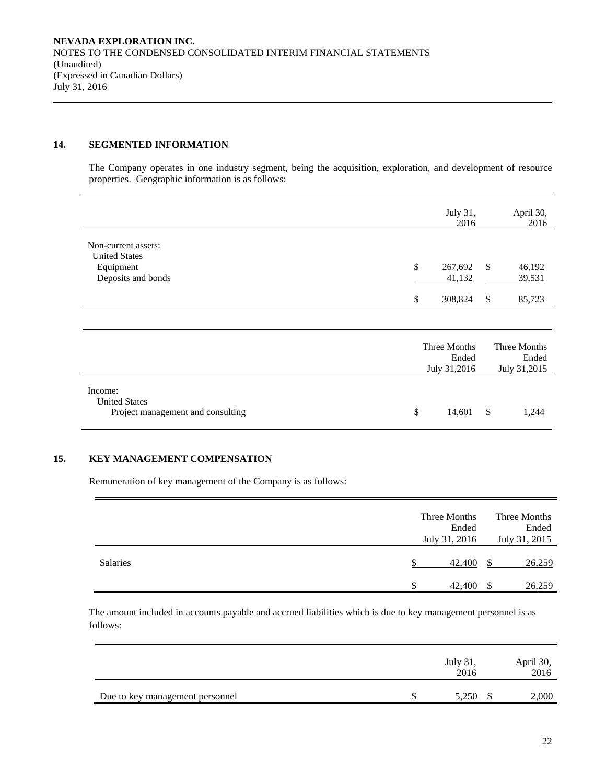# **14. SEGMENTED INFORMATION**

The Company operates in one industry segment, being the acquisition, exploration, and development of resource properties. Geographic information is as follows:

|                                                                                |          | July 31,<br>2016                      |          | April 30,<br>2016                     |
|--------------------------------------------------------------------------------|----------|---------------------------------------|----------|---------------------------------------|
| Non-current assets:<br><b>United States</b><br>Equipment<br>Deposits and bonds | \$<br>\$ | 267,692<br>41,132<br>308,824          | \$<br>\$ | 46,192<br>39,531<br>85,723            |
|                                                                                |          |                                       |          |                                       |
|                                                                                |          | Three Months<br>Ended<br>July 31,2016 |          | Three Months<br>Ended<br>July 31,2015 |
| Income:<br><b>United States</b><br>Project management and consulting           | \$       | 14,601                                | \$       | 1,244                                 |

# **15. KEY MANAGEMENT COMPENSATION**

Remuneration of key management of the Company is as follows:

|          |   | Three Months<br>Ended<br>July 31, 2016 |    | Three Months<br>Ended<br>July 31, 2015 |
|----------|---|----------------------------------------|----|----------------------------------------|
| Salaries |   | 42,400                                 |    | 26,259                                 |
|          | S | 42,400                                 | -S | 26,259                                 |

The amount included in accounts payable and accrued liabilities which is due to key management personnel is as follows:

|                                 | July 31,<br>2016 | April 30,<br>2016 |
|---------------------------------|------------------|-------------------|
| Due to key management personnel | 5.250            | 2,000             |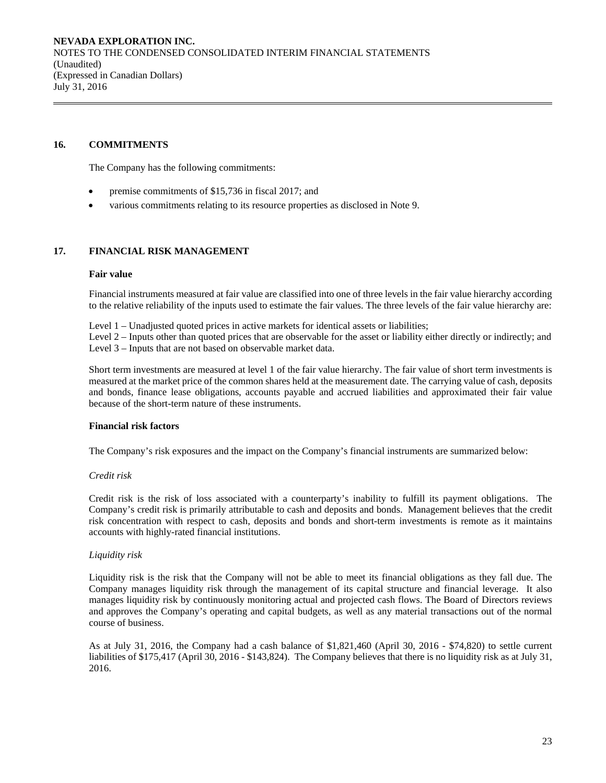### **16. COMMITMENTS**

The Company has the following commitments:

- premise commitments of \$15,736 in fiscal 2017; and
- various commitments relating to its resource properties as disclosed in Note 9.

# **17. FINANCIAL RISK MANAGEMENT**

### **Fair value**

Financial instruments measured at fair value are classified into one of three levels in the fair value hierarchy according to the relative reliability of the inputs used to estimate the fair values. The three levels of the fair value hierarchy are:

Level 1 – Unadjusted quoted prices in active markets for identical assets or liabilities;

Level 2 – Inputs other than quoted prices that are observable for the asset or liability either directly or indirectly; and Level 3 – Inputs that are not based on observable market data.

Short term investments are measured at level 1 of the fair value hierarchy. The fair value of short term investments is measured at the market price of the common shares held at the measurement date. The carrying value of cash, deposits and bonds, finance lease obligations, accounts payable and accrued liabilities and approximated their fair value because of the short-term nature of these instruments.

### **Financial risk factors**

The Company's risk exposures and the impact on the Company's financial instruments are summarized below:

### *Credit risk*

 Credit risk is the risk of loss associated with a counterparty's inability to fulfill its payment obligations. The Company's credit risk is primarily attributable to cash and deposits and bonds. Management believes that the credit risk concentration with respect to cash, deposits and bonds and short-term investments is remote as it maintains accounts with highly-rated financial institutions.

# *Liquidity risk*

Liquidity risk is the risk that the Company will not be able to meet its financial obligations as they fall due. The Company manages liquidity risk through the management of its capital structure and financial leverage. It also manages liquidity risk by continuously monitoring actual and projected cash flows. The Board of Directors reviews and approves the Company's operating and capital budgets, as well as any material transactions out of the normal course of business.

As at July 31, 2016, the Company had a cash balance of \$1,821,460 (April 30, 2016 - \$74,820) to settle current liabilities of \$175,417 (April 30, 2016 - \$143,824). The Company believes that there is no liquidity risk as at July 31, 2016.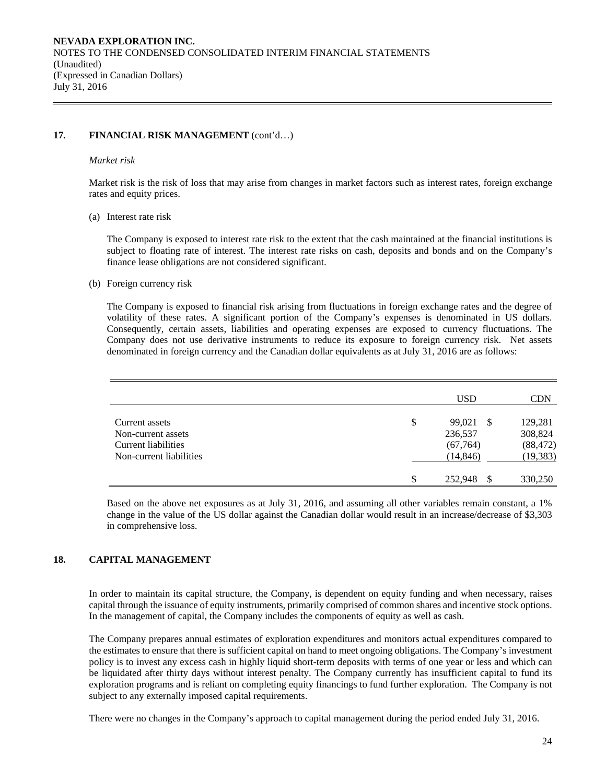# **17. FINANCIAL RISK MANAGEMENT** (cont'd…)

### *Market risk*

Market risk is the risk of loss that may arise from changes in market factors such as interest rates, foreign exchange rates and equity prices.

### (a) Interest rate risk

 The Company is exposed to interest rate risk to the extent that the cash maintained at the financial institutions is subject to floating rate of interest. The interest rate risks on cash, deposits and bonds and on the Company's finance lease obligations are not considered significant.

### (b) Foreign currency risk

The Company is exposed to financial risk arising from fluctuations in foreign exchange rates and the degree of volatility of these rates. A significant portion of the Company's expenses is denominated in US dollars. Consequently, certain assets, liabilities and operating expenses are exposed to currency fluctuations. The Company does not use derivative instruments to reduce its exposure to foreign currency risk. Net assets denominated in foreign currency and the Canadian dollar equivalents as at July 31, 2016 are as follows:

|                                                                                        |   | USD                                  | CDN                             |
|----------------------------------------------------------------------------------------|---|--------------------------------------|---------------------------------|
| Current assets<br>Non-current assets<br>Current liabilities<br>Non-current liabilities | S | 99,021<br>-S<br>236,537<br>(67, 764) | 129,281<br>308,824<br>(88, 472) |
|                                                                                        | S | (14, 846)<br>252,948                 | (19, 383)<br>330,250            |

Based on the above net exposures as at July 31, 2016, and assuming all other variables remain constant, a 1% change in the value of the US dollar against the Canadian dollar would result in an increase/decrease of \$3,303 in comprehensive loss.

# **18. CAPITAL MANAGEMENT**

In order to maintain its capital structure, the Company, is dependent on equity funding and when necessary, raises capital through the issuance of equity instruments, primarily comprised of common shares and incentive stock options. In the management of capital, the Company includes the components of equity as well as cash.

The Company prepares annual estimates of exploration expenditures and monitors actual expenditures compared to the estimates to ensure that there is sufficient capital on hand to meet ongoing obligations. The Company's investment policy is to invest any excess cash in highly liquid short-term deposits with terms of one year or less and which can be liquidated after thirty days without interest penalty. The Company currently has insufficient capital to fund its exploration programs and is reliant on completing equity financings to fund further exploration. The Company is not subject to any externally imposed capital requirements.

There were no changes in the Company's approach to capital management during the period ended July 31, 2016.